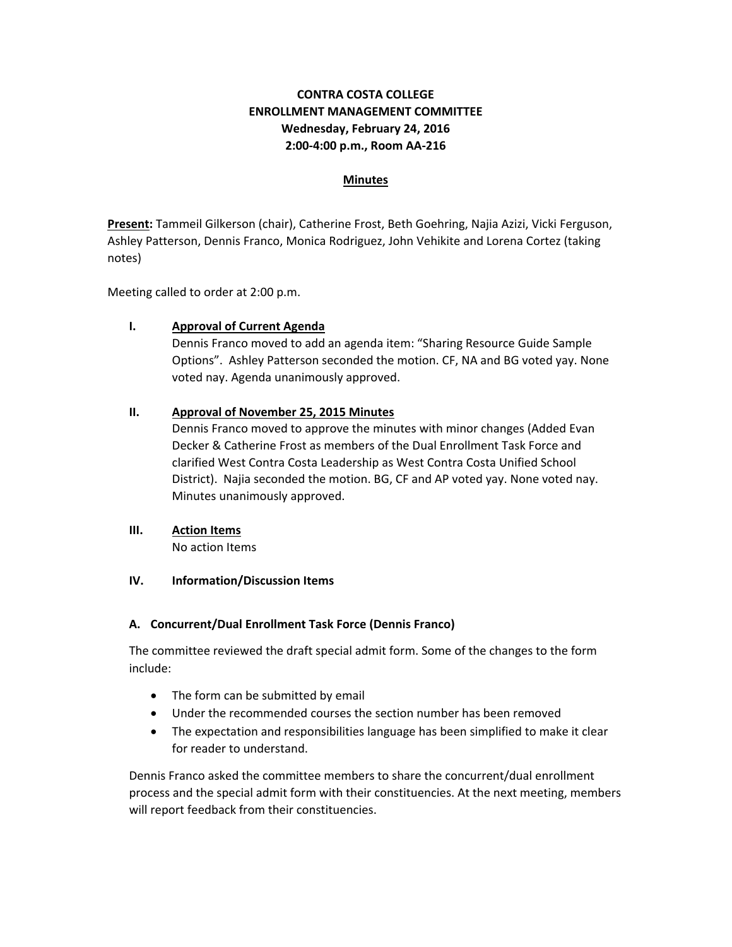## **CONTRA COSTA COLLEGE ENROLLMENT MANAGEMENT COMMITTEE Wednesday, February 24, 2016 2:00‐4:00 p.m., Room AA‐216**

#### **Minutes**

**Present:** Tammeil Gilkerson (chair), Catherine Frost, Beth Goehring, Najia Azizi, Vicki Ferguson, Ashley Patterson, Dennis Franco, Monica Rodriguez, John Vehikite and Lorena Cortez (taking notes)

Meeting called to order at 2:00 p.m.

### **I. Approval of Current Agenda**

Dennis Franco moved to add an agenda item: "Sharing Resource Guide Sample Options". Ashley Patterson seconded the motion. CF, NA and BG voted yay. None voted nay. Agenda unanimously approved.

### **II. Approval of November 25, 2015 Minutes**

Dennis Franco moved to approve the minutes with minor changes (Added Evan Decker & Catherine Frost as members of the Dual Enrollment Task Force and clarified West Contra Costa Leadership as West Contra Costa Unified School District). Najia seconded the motion. BG, CF and AP voted yay. None voted nay. Minutes unanimously approved.

# **III. Action Items**

No action Items

#### **IV. Information/Discussion Items**

#### **A. Concurrent/Dual Enrollment Task Force (Dennis Franco)**

The committee reviewed the draft special admit form. Some of the changes to the form include:

- The form can be submitted by email
- Under the recommended courses the section number has been removed
- The expectation and responsibilities language has been simplified to make it clear for reader to understand.

Dennis Franco asked the committee members to share the concurrent/dual enrollment process and the special admit form with their constituencies. At the next meeting, members will report feedback from their constituencies.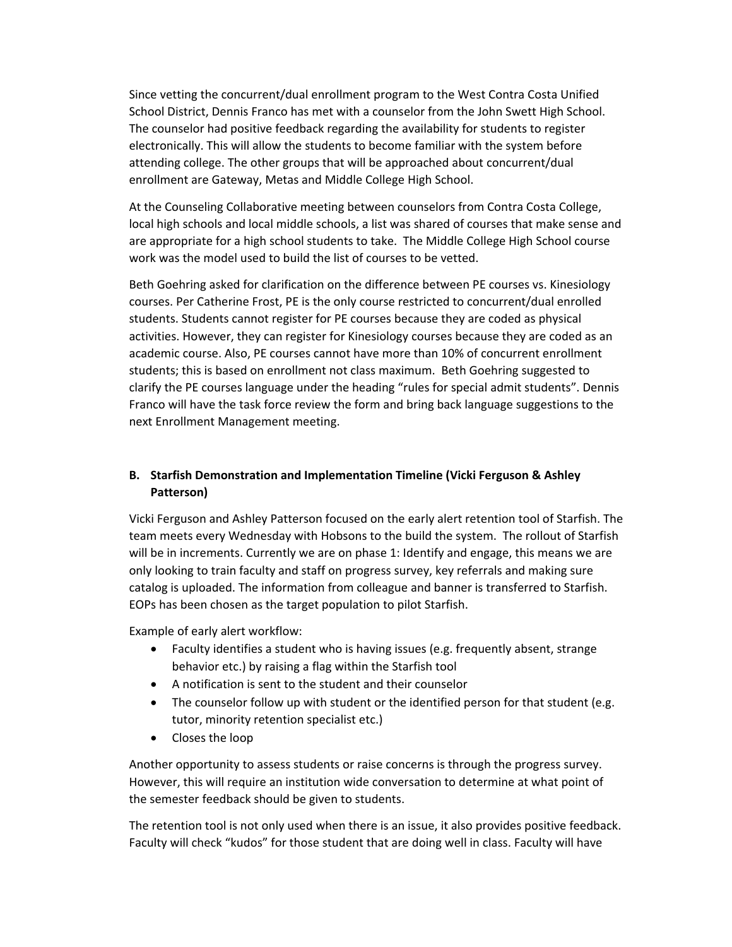Since vetting the concurrent/dual enrollment program to the West Contra Costa Unified School District, Dennis Franco has met with a counselor from the John Swett High School. The counselor had positive feedback regarding the availability for students to register electronically. This will allow the students to become familiar with the system before attending college. The other groups that will be approached about concurrent/dual enrollment are Gateway, Metas and Middle College High School.

At the Counseling Collaborative meeting between counselors from Contra Costa College, local high schools and local middle schools, a list was shared of courses that make sense and are appropriate for a high school students to take. The Middle College High School course work was the model used to build the list of courses to be vetted.

Beth Goehring asked for clarification on the difference between PE courses vs. Kinesiology courses. Per Catherine Frost, PE is the only course restricted to concurrent/dual enrolled students. Students cannot register for PE courses because they are coded as physical activities. However, they can register for Kinesiology courses because they are coded as an academic course. Also, PE courses cannot have more than 10% of concurrent enrollment students; this is based on enrollment not class maximum. Beth Goehring suggested to clarify the PE courses language under the heading "rules for special admit students". Dennis Franco will have the task force review the form and bring back language suggestions to the next Enrollment Management meeting.

## **B. Starfish Demonstration and Implementation Timeline (Vicki Ferguson & Ashley Patterson)**

Vicki Ferguson and Ashley Patterson focused on the early alert retention tool of Starfish. The team meets every Wednesday with Hobsons to the build the system. The rollout of Starfish will be in increments. Currently we are on phase 1: Identify and engage, this means we are only looking to train faculty and staff on progress survey, key referrals and making sure catalog is uploaded. The information from colleague and banner is transferred to Starfish. EOPs has been chosen as the target population to pilot Starfish.

Example of early alert workflow:

- Faculty identifies a student who is having issues (e.g. frequently absent, strange behavior etc.) by raising a flag within the Starfish tool
- A notification is sent to the student and their counselor
- The counselor follow up with student or the identified person for that student (e.g. tutor, minority retention specialist etc.)
- Closes the loop

Another opportunity to assess students or raise concerns is through the progress survey. However, this will require an institution wide conversation to determine at what point of the semester feedback should be given to students.

The retention tool is not only used when there is an issue, it also provides positive feedback. Faculty will check "kudos" for those student that are doing well in class. Faculty will have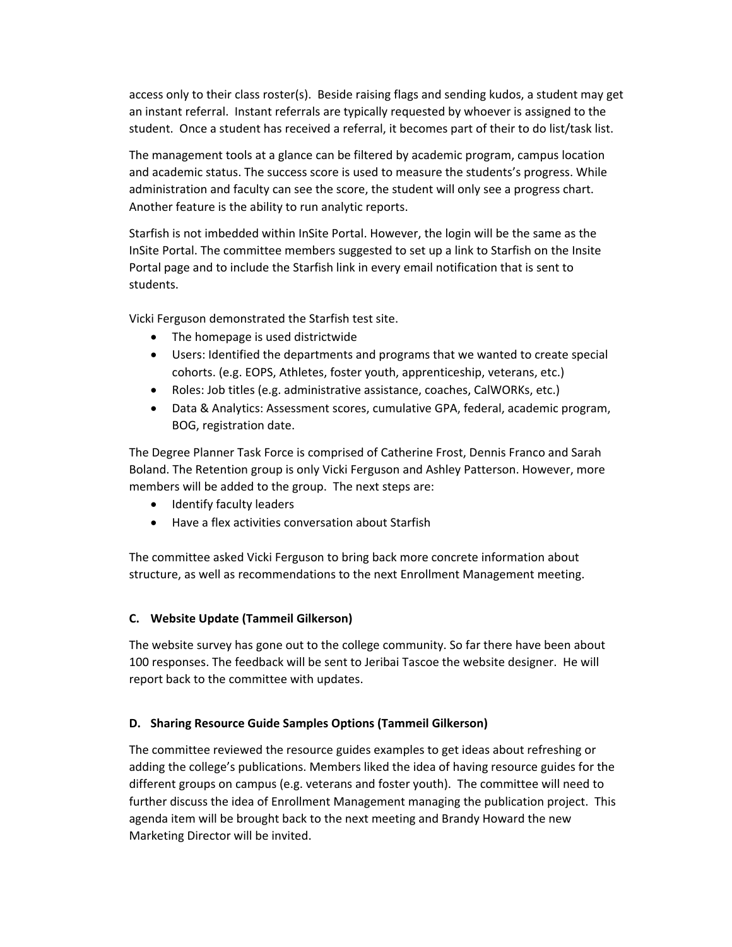access only to their class roster(s). Beside raising flags and sending kudos, a student may get an instant referral. Instant referrals are typically requested by whoever is assigned to the student. Once a student has received a referral, it becomes part of their to do list/task list.

The management tools at a glance can be filtered by academic program, campus location and academic status. The success score is used to measure the students's progress. While administration and faculty can see the score, the student will only see a progress chart. Another feature is the ability to run analytic reports.

Starfish is not imbedded within InSite Portal. However, the login will be the same as the InSite Portal. The committee members suggested to set up a link to Starfish on the Insite Portal page and to include the Starfish link in every email notification that is sent to students.

Vicki Ferguson demonstrated the Starfish test site.

- The homepage is used districtwide
- Users: Identified the departments and programs that we wanted to create special cohorts. (e.g. EOPS, Athletes, foster youth, apprenticeship, veterans, etc.)
- Roles: Job titles (e.g. administrative assistance, coaches, CalWORKs, etc.)
- Data & Analytics: Assessment scores, cumulative GPA, federal, academic program, BOG, registration date.

The Degree Planner Task Force is comprised of Catherine Frost, Dennis Franco and Sarah Boland. The Retention group is only Vicki Ferguson and Ashley Patterson. However, more members will be added to the group. The next steps are:

- Identify faculty leaders
- Have a flex activities conversation about Starfish

The committee asked Vicki Ferguson to bring back more concrete information about structure, as well as recommendations to the next Enrollment Management meeting.

### **C. Website Update (Tammeil Gilkerson)**

The website survey has gone out to the college community. So far there have been about 100 responses. The feedback will be sent to Jeribai Tascoe the website designer. He will report back to the committee with updates.

### **D. Sharing Resource Guide Samples Options (Tammeil Gilkerson)**

The committee reviewed the resource guides examples to get ideas about refreshing or adding the college's publications. Members liked the idea of having resource guides for the different groups on campus (e.g. veterans and foster youth). The committee will need to further discuss the idea of Enrollment Management managing the publication project. This agenda item will be brought back to the next meeting and Brandy Howard the new Marketing Director will be invited.